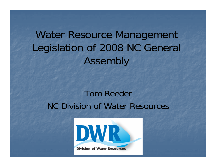Water Resource Management Legislation of 2008 NC General Assembly

#### Tom ReederNC Division of Water Resources

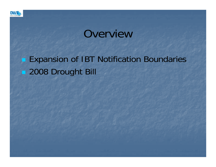

#### **Overview**

#### **Expansion of IBT Notification Boundaries 2008 Drought Bill**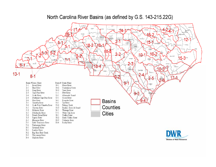#### ALL FÖHAN a Mar **CURRITUCK** SURRY rokes **B** ROCKINGHAM 14 WARREN **SAMDEN SRANVILLE AEK®** npevt GUILFORD **ERANIGUN** PERTIE  $2 - 1$  $15 - 1$  $-5-$ MADISON EDGECOMBE  $18 -$ .18⊧ **TYRRELL**  $3 - 1$ MCDOVELL **DARF**  $5-2$  $5 - 3$  $.10 - 1$ n BEAUFORT  $5-3$ HARNETT **VAYNE IN BEOM DIEVELAN** POLK  $2 - 3$ MACON  $6 - 1$  av CRAVEN  $8 - 4$ PANJCO  $0 - 3$ **LIMBERLAN SAMPSON VISCH DUPLIN**  $13 - 1$ ◠  $8<sup>1</sup>$  $2 - 5$  $17-$ BADE Basin # Basin Name Basin # Basin Name  $9 - 1$ **FERRIT Broad River** Neuse River  $1 - 1$  $10-1$  $2 - 1$ Haw River  $10-2$ Contentnea Creek  $2 - 2$ Deep River  $10-3$ Trent River  $9 - 3$  $2 - 3$ Cape Fear River  $11 - 1$ New River 2-4 South River  $12 - 1$ Albemarle Sound  $2 - 5$ Northeast Cape Fear River Ocoee River  $13 - 1$ New River **Basins**  $2 - 6$  $14-1$ Roanoke River Catawba River Tar River  $3-1$  $15 - 1$ 3-2 South Fork Catawba River  $15 - 2$ Fishing Creek Counties 4-1 Chowan River Pamlico River & Sound  $15-3$ 4-2 Meherrin River  $16 - 1$ Watauga River **Cities** White Oak River  $5-1$ Nohchucky River  $17 - 1$ 5-2 French Broad River 18-1 Yadkin River 18-2 South Yadkin River 5-3 Pigeon River  $6 - 1$ Hiwassee River  $18-3$ Uwharrie River

#### North Carolina River Basins (as defined by G.S. 143-215.22G)



- 
- $18-4$ Rocky River
- $7 1$ Little Tennessee River 7-2 Tuskasegee River
- 8-1 Savannah River
- 9-1 Lumber River
- 9-3 Waccamaw River
- $9 4$ Shallotte River
- 
- 
- 
- 
- Big Shoe Heel Creek  $9-2$
- 
- 
-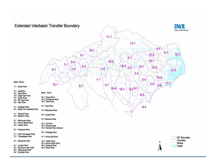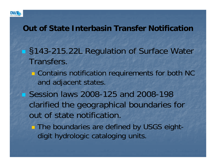

#### **Out of State Interbasin Transfer Notification**

- §143-215.22L Regulation of Surface Water Transfers.
	- **Contains notification requirements for both NC** and adjacent states.
- **Session laws 2008-125 and 2008-198** clarified the geographical boundaries for out of state notification.
	- **The boundaries are defined by USGS eight**digit hydrologic cataloging units.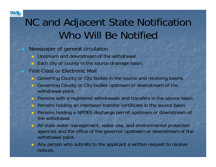

# NC and Adjacent State Notification Who Will Be Notified

- Newspaper of general circulation
	- **DEDEN Upstream and downstream of the withdrawal.**
	- **Each city or county in the source drainage basin.**
- First-Class or Electronic Mail
	- Governing County or City bodies in the source and receiving basins.
	- Governing County or City bodies upstream or downstream of the withdrawal point.
	- **Persons with a registered withdrawals and transfers in the source basin.**
	- **Persons holding an interbasin transfer certificate in the source basin.**
	- Persons holding a NPDES discharge permit upstream or downstream of the withdrawal.
	- All state water management, water use, and environmental protection agencies and the office of the governor upstream or downstream of the withdrawal point.
	- **Any person who submits to the applicant a written request to receive** notices.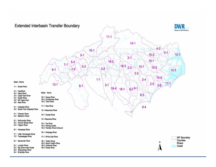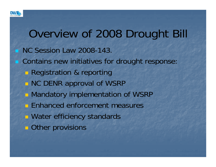

### Overview of 2008 Drought Bill NC Session Law 2008-143. **Contains new initiatives for drought response: Registration & reporting NC DENR approval of WSRP • Mandatory implementation of WSRP Enhanced enforcement measures Nater efficiency standards Other provisions**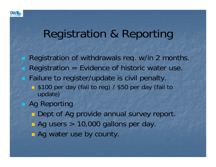

# Registration & Reporting

**Registration of withdrawals req. w/in 2 months. Registration = Evidence of historic water use. Failure to register/update is civil penalty. 5100 per day (fail to reg) / \$50 per day (fail to** update) **Ag Reporting Dept of Ag provide annual survey report.** ■ Ag users > 10,000 gallons per day. **E** Ag water use by county.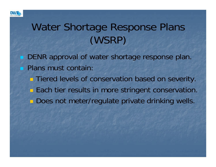

# Water Shortage Response Plans (WSRP)

- **DENR approval of water shortage response plan. Plans must contain:** 
	- **Tiered levels of conservation based on severity.**
	- **Each tier results in more stringent conservation.**
	- **Does not meter/regulate private drinking wells.**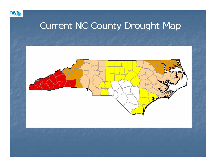

#### Current NC County Drought Map

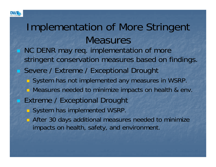

# Implementation of More Stringent **Measures**

- NC DENR may req. implementation of more stringent conservation measures based on findings. Severe / Extreme / Exceptional Drought
	- System has not implemented any measures in WSRP.
	- **Neasures needed to minimize impacts on health & env.**
- Extreme / Exceptional Drought
	- System has implemented WSRP.
	- **After 30 days additional measures needed to minimize** impacts on health, safety, and environment.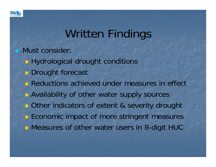

# Written Findings

Must consider:

- **Hydrological drought conditions**
- **Drought forecast**
- **Reductions achieved under measures in effect**
- **Availability of other water supply sources**
- **Other indicators of extent & severity drought**
- **Exercise Economic impact of more stringent measures**
- **Neasures of other water users in 8-digit HUC**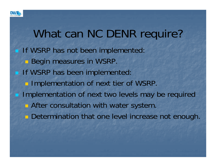

# What can NC DENR require?

**If WSRP has not been implemented: Begin measures in WSRP. If WSRP has been implemented: Implementation of next tier of WSRP.**  Implementation of next two levels may be required **E** After consultation with water system. **Determination that one level increase not enough.**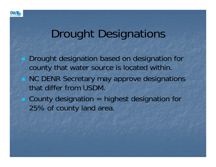

# Drought Designations

 Drought designation based on designation for county that water source is located within. **NC DENR Secretary may approve designations** that differ from USDM.■ County designation = highest designation for 25% of county land area.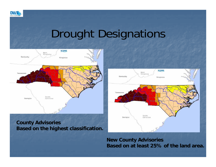

# Drought Designations



#### **County Advisories Based on the highest classification.**



**New County Advisories Based on at least 25% of the land area.**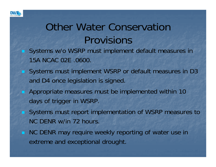

# Other Water Conservation Provisions

- Systems w/o WSRP must implement default measures in 15A NCAC 02E .0600.
- Systems must implement WSRP or default measures in D3 and D4 once legislation is signed.
- Appropriate measures must be implemented within 10 days of trigger in WSRP.
- Systems must report implementation of WSRP measures to NC DENR w/in 72 hours.
- **NC DENR may require weekly reporting of water use in** extreme and exceptional drought.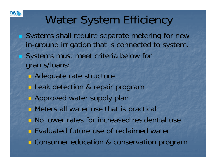

# Water System Efficiency

- Systems shall require separate metering for new in-ground irrigation that is connected to system. Systems must meet criteria below for grants/loans:
	- **Adequate rate structure**
	- **Leak detection & repair program**
	- **Approved water supply plan**
	- **Meters all water use that is practical**
	- **No lower rates for increased residential use**
	- **Evaluated future use of reclaimed water**
	- **Consumer education & conservation program**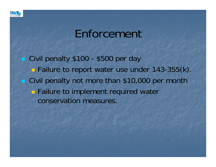

### Enforcement

Civil penalty \$100 - \$500 per day **Failure to report water use under 143-355(k). Civil penalty not more than \$10,000 per month Failure to implement required water** conservation measures.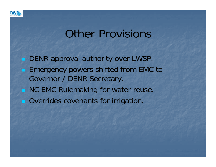

# Other Provisions

 DENR approval authority over LWSP. **Emergency powers shifted from EMC to** Governor / DENR Secretary. **NC EMC Rulemaking for water reuse. Overrides covenants for irrigation.**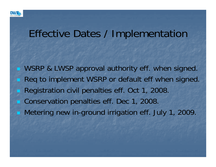

#### Effective Dates / Implementation

WSRP & LWSP approval authority eff. when signed. Req to implement WSRP or default eff when signed. Registration civil penalties eff. Oct 1, 2008. Conservation penalties eff. Dec 1, 2008. Metering new in-ground irrigation eff. July 1, 2009.